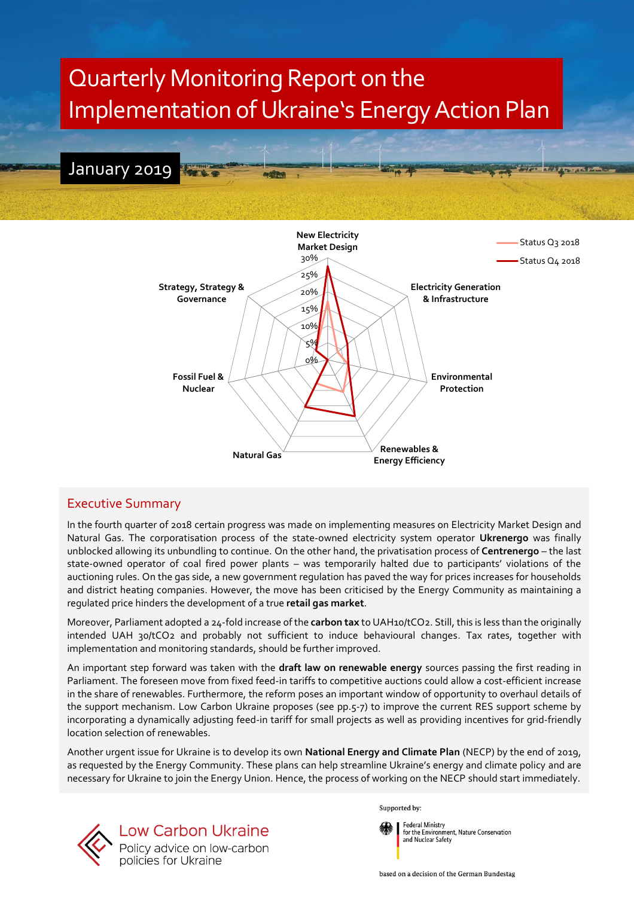



# Executive Summary

In the fourth quarter of 2018 certain progress was made on implementing measures on Electricity Market Design and Natural Gas. The corporatisation process of the state-owned electricity system operator **Ukrenergo** was finally unblocked allowing its unbundling to continue. On the other hand, the privatisation process of **Centrenergo** – the last state-owned operator of coal fired power plants – was temporarily halted due to participants' violations of the auctioning rules. On the gas side, a new government regulation has paved the way for prices increases for households and district heating companies. However, the move has been criticised by the Energy Community as maintaining a regulated price hinders the development of a true **retail gas market**.

Moreover, Parliament adopted a 24-fold increase of the **carbon tax** to UAH10/tCO2. Still, this is less than the originally intended UAH 30/tCO2 and probably not sufficient to induce behavioural changes. Tax rates, together with implementation and monitoring standards, should be further improved.

An important step forward was taken with the **draft law on renewable energy** sources passing the first reading in Parliament. The foreseen move from fixed feed-in tariffs to competitive auctions could allow a cost-efficient increase in the share of renewables. Furthermore, the reform poses an important window of opportunity to overhaul details of the support mechanism. Low Carbon Ukraine proposes (see pp.5-7) to improve the current RES support scheme by incorporating a dynamically adjusting feed-in tariff for small projects as well as providing incentives for grid-friendly location selection of renewables.

Another urgent issue for Ukraine is to develop its own **National Energy and Climate Plan** (NECP) by the end of 2019, as requested by the Energy Community. These plans can help streamline Ukraine's energy and climate policy and are necessary for Ukraine to join the Energy Union. Hence, the process of working on the NECP should start immediately.



Supported by:



for the Environment, Nature Conservation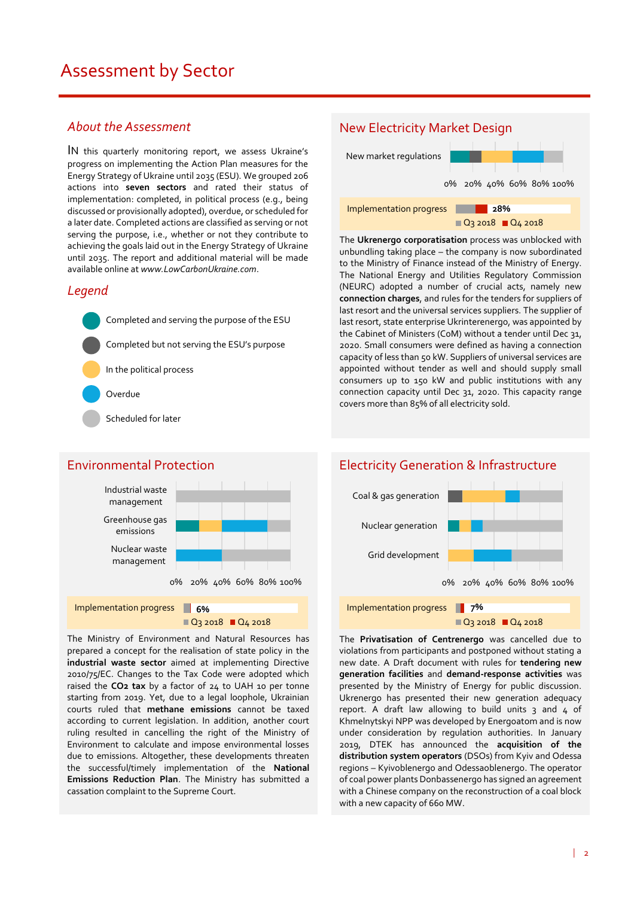## *About the Assessment*

IN this quarterly monitoring report, we assess Ukraine's progress on implementing the Action Plan measures for the Energy Strategy of Ukraine until 2035 (ESU). We grouped 206 actions into **seven sectors** and rated their status of implementation: completed, in political process (e.g., being discussed or provisionally adopted), overdue, or scheduled for a later date. Completed actions are classified as serving or not serving the purpose, i.e., whether or not they contribute to achieving the goals laid out in the Energy Strategy of Ukraine until 2035. The report and additional material will be made available online at *www.LowCarbonUkraine.com*.

## *Legend*

Completed and serving the purpose of the ESU Completed but not serving the ESU's purpose In the political process Overdue Scheduled for later

## Environmental Protection



Q<sub>3</sub> 2018 Q<sub>4</sub> 2018

The Ministry of Environment and Natural Resources has prepared a concept for the realisation of state policy in the **industrial waste sector** aimed at implementing Directive 2010/75/EC. Changes to the Tax Code were adopted which raised the **CO2 tax** by a factor of 24 to UAH 10 per tonne starting from 2019. Yet, due to a legal loophole, Ukrainian courts ruled that **methane emissions** cannot be taxed according to current legislation. In addition, another court ruling resulted in cancelling the right of the Ministry of Environment to calculate and impose environmental losses due to emissions. Altogether, these developments threaten the successful/timely implementation of the **National Emissions Reduction Plan**. The Ministry has submitted a cassation complaint to the Supreme Court.

# New Electricity Market Design

New market regulations



The **Ukrenergo corporatisation** process was unblocked with unbundling taking place – the company is now subordinated to the Ministry of Finance instead of the Ministry of Energy. The National Energy and Utilities Regulatory Commission (NEURC) adopted a number of crucial acts, namely new **connection charges**, and rules for the tenders for suppliers of last resort and the universal services suppliers. The supplier of last resort, state enterprise Ukrinterenergo, was appointed by the Cabinet of Ministers (CoM) without a tender until Dec 31, 2020. Small consumers were defined as having a connection capacity of less than 50 kW. Suppliers of universal services are appointed without tender as well and should supply small consumers up to 150 kW and public institutions with any connection capacity until Dec 31, 2020. This capacity range covers more than 85% of all electricity sold.



The **Privatisation of Centrenergo** was cancelled due to violations from participants and postponed without stating a new date. A Draft document with rules for **tendering new generation facilities** and **demand-response activities** was presented by the Ministry of Energy for public discussion. Ukrenergo has presented their new generation adequacy report. A draft law allowing to build units  $3$  and  $4$  of Khmelnytskyi NPP was developed by Energoatom and is now under consideration by regulation authorities. In January 2019, DTEK has announced the **acquisition of the distribution system operators** (DSOs) from Kyiv and Odessa regions – Kyivoblenergo and Odessaoblenergo. The operator of coal power plants Donbassenergo has signed an agreement with a Chinese company on the reconstruction of a coal block with a new capacity of 660 MW.

# Electricity Generation & Infrastructure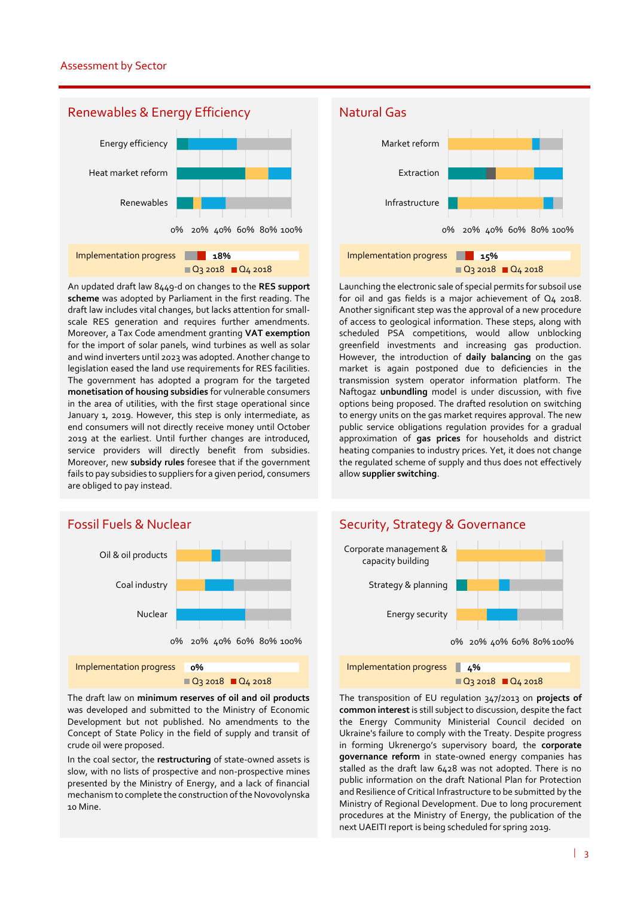

An updated draft law 8449-d on changes to the **RES support scheme** was adopted by Parliament in the first reading. The draft law includes vital changes, but lacks attention for smallscale RES generation and requires further amendments. Moreover, a Tax Code amendment granting **VAT exemption** for the import of solar panels, wind turbines as well as solar and wind inverters until 2023 was adopted. Another change to legislation eased the land use requirements for RES facilities. The government has adopted a program for the targeted **monetisation of housing subsidies** for vulnerable consumers in the area of utilities, with the first stage operational since January 1, 2019. However, this step is only intermediate, as end consumers will not directly receive money until October 2019 at the earliest. Until further changes are introduced, service providers will directly benefit from subsidies. Moreover, new **subsidy rules** foresee that if the government fails to pay subsidies to suppliers for a given period, consumers are obliged to pay instead.

# Fossil Fuels & Nuclear



The draft law on **minimum reserves of oil and oil products** was developed and submitted to the Ministry of Economic Development but not published. No amendments to the Concept of State Policy in the field of supply and transit of crude oil were proposed.

In the coal sector, the **restructuring** of state-owned assets is slow, with no lists of prospective and non-prospective mines presented by the Ministry of Energy, and a lack of financial mechanism to complete the construction of the Novovolynska 10 Mine.

## Natural Gas



Launching the electronic sale of special permits for subsoil use for oil and gas fields is a major achievement of Q4 2018. Another significant step was the approval of a new procedure of access to geological information. These steps, along with scheduled PSA competitions, would allow unblocking greenfield investments and increasing gas production. However, the introduction of **daily balancing** on the gas market is again postponed due to deficiencies in the transmission system operator information platform. The Naftogaz **unbundling** model is under discussion, with five options being proposed. The drafted resolution on switching to energy units on the gas market requires approval. The new public service obligations regulation provides for a gradual approximation of **gas prices** for households and district heating companies to industry prices. Yet, it does not change the regulated scheme of supply and thus does not effectively allow **supplier switching**.



The transposition of EU regulation 347/2013 on **projects of common interest** is still subject to discussion, despite the fact the Energy Community Ministerial Council decided on Ukraine's failure to comply with the Treaty. Despite progress in forming Ukrenergo's supervisory board, the **corporate governance reform** in state-owned energy companies has stalled as the draft law 6428 was not adopted. There is no public information on the draft National Plan for Protection and Resilience of Critical Infrastructure to be submitted by the Ministry of Regional Development. Due to long procurement procedures at the Ministry of Energy, the publication of the next UAEITI report is being scheduled for spring 2019.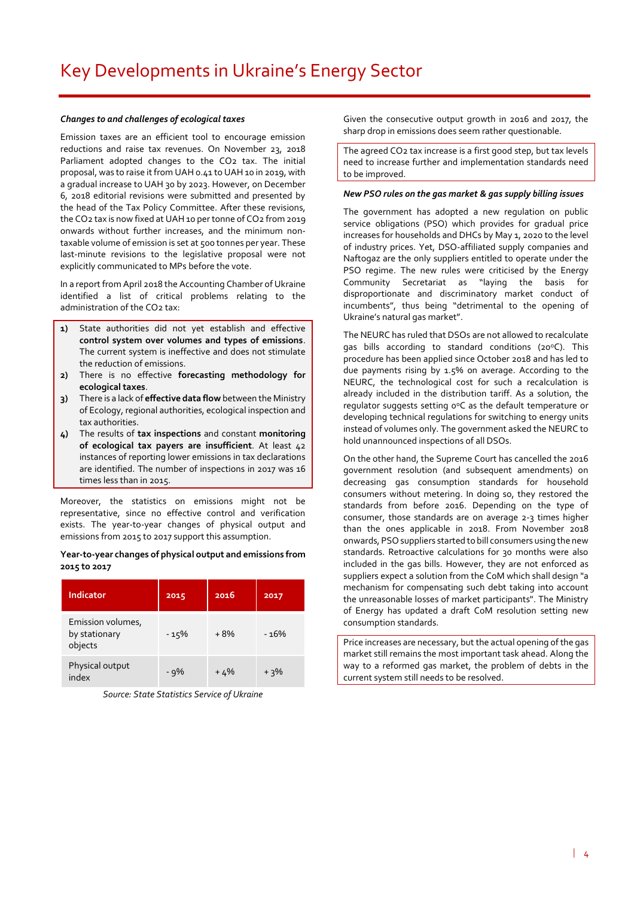#### *Changes to and challenges of ecological taxes*

Emission taxes are an efficient tool to encourage emission reductions and raise tax revenues. On November 23, 2018 Parliament adopted changes to the CO2 tax. The initial proposal, was to raise it from UAH 0.41 to UAH 10 in 2019, with a gradual increase to UAH 30 by 2023. However, on December 6, 2018 editorial revisions were submitted and presented by the head of the Tax Policy Committee. After these revisions, the CO2 tax is now fixed at UAH 10 per tonne of CO2 from 2019 onwards without further increases, and the minimum nontaxable volume of emission is set at 500 tonnes per year. These last-minute revisions to the legislative proposal were not explicitly communicated to MPs before the vote.

In a report from April 2018 the Accounting Chamber of Ukraine identified a list of critical problems relating to the administration of the CO2 tax:

- **1)** State authorities did not yet establish and effective **control system over volumes and types of emissions**. The current system is ineffective and does not stimulate the reduction of emissions.
- **2)** There is no effective **forecasting methodology for ecological taxes**.
- **3)** There is a lack of **effective data flow** between the Ministry of Ecology, regional authorities, ecological inspection and tax authorities.
- **4)** The results of **tax inspections** and constant **monitoring of ecological tax payers are insufficient**. At least 42 instances of reporting lower emissions in tax declarations are identified. The number of inspections in 2017 was 16 times less than in 2015.

Moreover, the statistics on emissions might not be representative, since no effective control and verification exists. The year-to-year changes of physical output and emissions from 2015 to 2017 support this assumption.

#### **Year-to-year changes of physical output and emissions from 2015 to 2017**

| Indicator                                     | 2015  | 2016  | 2017   |
|-----------------------------------------------|-------|-------|--------|
| Emission volumes,<br>by stationary<br>objects | - 15% | +8%   | - 16%  |
| Physical output<br>index                      | - 9%  | $+4%$ | $+3\%$ |

*Source: State Statistics Service of Ukraine*

Given the consecutive output growth in 2016 and 2017, the sharp drop in emissions does seem rather questionable.

The agreed CO2 tax increase is a first good step, but tax levels need to increase further and implementation standards need to be improved.

#### *New PSO rules on the gas market & gas supply billing issues*

The government has adopted a new regulation on public service obligations (PSO) which provides for gradual price increases for households and DHCs by May 1, 2020 to the level of industry prices. Yet, DSO-affiliated supply companies and Naftogaz are the only suppliers entitled to operate under the PSO regime. The new rules were criticised by the Energy Community Secretariat as "laying the basis for disproportionate and discriminatory market conduct of incumbents", thus being "detrimental to the opening of Ukraine's natural gas market".

The NEURC has ruled that DSOs are not allowed to recalculate gas bills according to standard conditions (20°C). This procedure has been applied since October 2018 and has led to due payments rising by 1.5% on average. According to the NEURC, the technological cost for such a recalculation is already included in the distribution tariff. As a solution, the regulator suggests setting o°C as the default temperature or developing technical regulations for switching to energy units instead of volumes only. The government asked the NEURC to hold unannounced inspections of all DSOs.

On the other hand, the Supreme Court has cancelled the 2016 government resolution (and subsequent amendments) on decreasing gas consumption standards for household consumers without metering. In doing so, they restored the standards from before 2016. Depending on the type of consumer, those standards are on average 2-3 times higher than the ones applicable in 2018. From November 2018 onwards, PSO suppliers started to bill consumers using the new standards. Retroactive calculations for 30 months were also included in the gas bills. However, they are not enforced as suppliers expect a solution from the CoM which shall design "a mechanism for compensating such debt taking into account the unreasonable losses of market participants". The Ministry of Energy has updated a draft CoM resolution setting new consumption standards.

Price increases are necessary, but the actual opening of the gas market still remains the most important task ahead. Along the way to a reformed gas market, the problem of debts in the current system still needs to be resolved.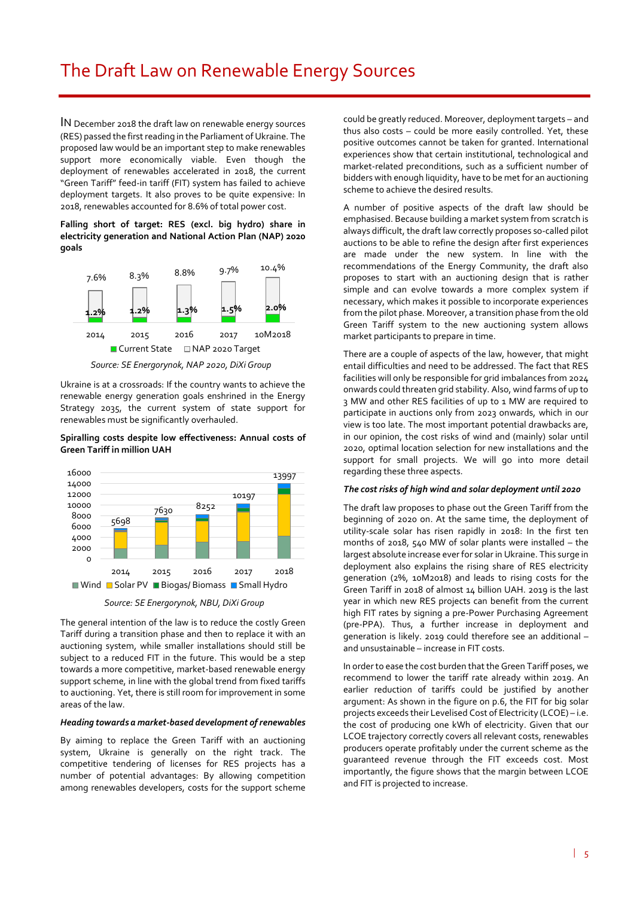IN December 2018 the draft law on renewable energy sources (RES) passed the first reading in the Parliament of Ukraine. The proposed law would be an important step to make renewables support more economically viable. Even though the deployment of renewables accelerated in 2018, the current "Green Tariff" feed-in tariff (FIT) system has failed to achieve deployment targets. It also proves to be quite expensive: In 2018, renewables accounted for 8.6% of total power cost.

**Falling short of target: RES (excl. big hydro) share in electricity generation and National Action Plan (NAP) 2020 goals**



*Source: SE Energorynok, NAP 2020, DiXi Group*

Ukraine is at a crossroads: If the country wants to achieve the renewable energy generation goals enshrined in the Energy Strategy 2035, the current system of state support for renewables must be significantly overhauled.

#### **Spiralling costs despite low effectiveness: Annual costs of Green Tariff in million UAH**



*Source: SE Energorynok, NBU, DiXi Group*

The general intention of the law is to reduce the costly Green Tariff during a transition phase and then to replace it with an auctioning system, while smaller installations should still be subject to a reduced FIT in the future. This would be a step towards a more competitive, market-based renewable energy support scheme, in line with the global trend from fixed tariffs to auctioning. Yet, there is still room for improvement in some areas of the law.

#### *Heading towards a market-based development of renewables*

By aiming to replace the Green Tariff with an auctioning system, Ukraine is generally on the right track. The competitive tendering of licenses for RES projects has a number of potential advantages: By allowing competition among renewables developers, costs for the support scheme could be greatly reduced. Moreover, deployment targets – and thus also costs – could be more easily controlled. Yet, these positive outcomes cannot be taken for granted. International experiences show that certain institutional, technological and market-related preconditions, such as a sufficient number of bidders with enough liquidity, have to be met for an auctioning scheme to achieve the desired results.

A number of positive aspects of the draft law should be emphasised. Because building a market system from scratch is always difficult, the draft law correctly proposes so-called pilot auctions to be able to refine the design after first experiences are made under the new system. In line with the recommendations of the Energy Community, the draft also proposes to start with an auctioning design that is rather simple and can evolve towards a more complex system if necessary, which makes it possible to incorporate experiences from the pilot phase. Moreover, a transition phase from the old Green Tariff system to the new auctioning system allows market participants to prepare in time.

There are a couple of aspects of the law, however, that might entail difficulties and need to be addressed. The fact that RES facilities will only be responsible for grid imbalances from 2024 onwards could threaten grid stability. Also, wind farms of up to 3 MW and other RES facilities of up to 1 MW are required to participate in auctions only from 2023 onwards, which in our view is too late. The most important potential drawbacks are, in our opinion, the cost risks of wind and (mainly) solar until 2020, optimal location selection for new installations and the support for small projects. We will go into more detail regarding these three aspects.

#### *The cost risks of high wind and solar deployment until 2020*

The draft law proposes to phase out the Green Tariff from the beginning of 2020 on. At the same time, the deployment of utility-scale solar has risen rapidly in 2018: In the first ten months of 2018, 540 MW of solar plants were installed – the largest absolute increase ever for solar in Ukraine. This surge in deployment also explains the rising share of RES electricity generation (2%, 10M2018) and leads to rising costs for the Green Tariff in 2018 of almost 14 billion UAH. 2019 is the last year in which new RES projects can benefit from the current high FIT rates by signing a pre-Power Purchasing Agreement (pre-PPA). Thus, a further increase in deployment and generation is likely. 2019 could therefore see an additional – and unsustainable – increase in FIT costs.

In order to ease the cost burden that the Green Tariff poses, we recommend to lower the tariff rate already within 2019. An earlier reduction of tariffs could be justified by another argument: As shown in the figure on p.6, the FIT for big solar projects exceeds their Levelised Cost of Electricity (LCOE) – i.e. the cost of producing one kWh of electricity. Given that our LCOE trajectory correctly covers all relevant costs, renewables producers operate profitably under the current scheme as the guaranteed revenue through the FIT exceeds cost. Most importantly, the figure shows that the margin between LCOE and FIT is projected to increase.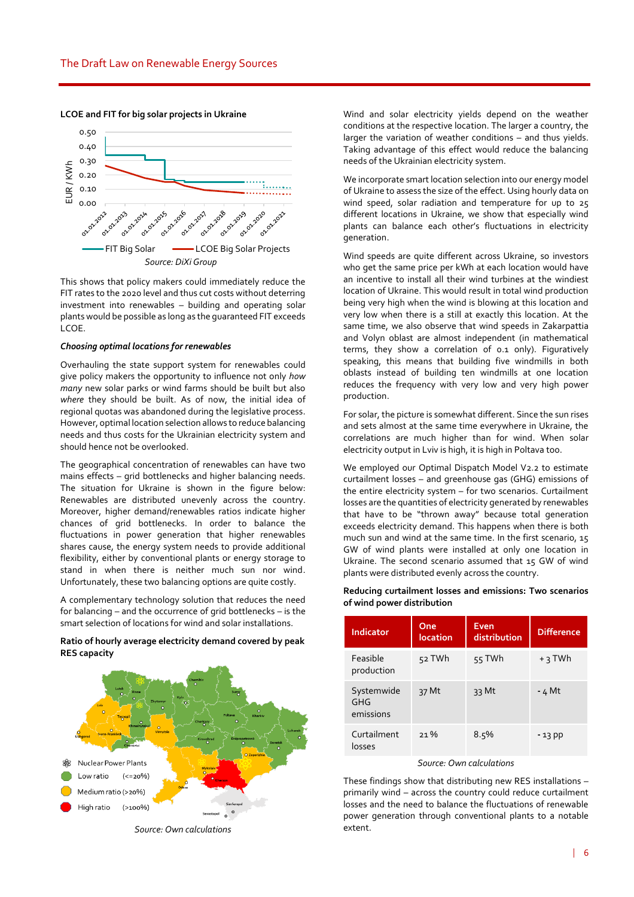

**LCOE and FIT for big solar projects in Ukraine**

This shows that policy makers could immediately reduce the FIT rates to the 2020 level and thus cut costs without deterring investment into renewables – building and operating solar plants would be possible as long as the guaranteed FIT exceeds LCOE.

#### *Choosing optimal locations for renewables*

Overhauling the state support system for renewables could give policy makers the opportunity to influence not only *how many* new solar parks or wind farms should be built but also *where* they should be built. As of now, the initial idea of regional quotas was abandoned during the legislative process. However, optimal location selection allows to reduce balancing needs and thus costs for the Ukrainian electricity system and should hence not be overlooked.

The geographical concentration of renewables can have two mains effects – grid bottlenecks and higher balancing needs. The situation for Ukraine is shown in the figure below: Renewables are distributed unevenly across the country. Moreover, higher demand/renewables ratios indicate higher chances of grid bottlenecks. In order to balance the fluctuations in power generation that higher renewables shares cause, the energy system needs to provide additional flexibility, either by conventional plants or energy storage to stand in when there is neither much sun nor wind. Unfortunately, these two balancing options are quite costly.

A complementary technology solution that reduces the need for balancing – and the occurrence of grid bottlenecks – is the smart selection of locations for wind and solar installations.

#### **Ratio of hourly average electricity demand covered by peak RES capacity**



*Source: Own calculations*

Wind and solar electricity yields depend on the weather conditions at the respective location. The larger a country, the larger the variation of weather conditions – and thus yields. Taking advantage of this effect would reduce the balancing needs of the Ukrainian electricity system.

We incorporate smart location selection into our energy model of Ukraine to assess the size of the effect. Using hourly data on wind speed, solar radiation and temperature for up to 25 different locations in Ukraine, we show that especially wind plants can balance each other's fluctuations in electricity generation.

Wind speeds are quite different across Ukraine, so investors who get the same price per kWh at each location would have an incentive to install all their wind turbines at the windiest location of Ukraine. This would result in total wind production being very high when the wind is blowing at this location and very low when there is a still at exactly this location. At the same time, we also observe that wind speeds in Zakarpattia and Volyn oblast are almost independent (in mathematical terms, they show a correlation of 0.1 only). Figuratively speaking, this means that building five windmills in both oblasts instead of building ten windmills at one location reduces the frequency with very low and very high power production.

For solar, the picture is somewhat different. Since the sun rises and sets almost at the same time everywhere in Ukraine, the correlations are much higher than for wind. When solar electricity output in Lviv is high, it is high in Poltava too.

We employed our Optimal Dispatch Model V2.2 to estimate curtailment losses – and greenhouse gas (GHG) emissions of the entire electricity system – for two scenarios. Curtailment losses are the quantities of electricity generated by renewables that have to be "thrown away" because total generation exceeds electricity demand. This happens when there is both much sun and wind at the same time. In the first scenario, 15 GW of wind plants were installed at only one location in Ukraine. The second scenario assumed that 15 GW of wind plants were distributed evenly across the country.

| Indicator                      | One<br>location | Even<br>distribution | <b>Difference</b> |
|--------------------------------|-----------------|----------------------|-------------------|
| Feasible<br>production         | 52 TWh          | 55 TWh               | $+3$ TWh          |
| Systemwide<br>GHG<br>emissions | 37 Mt           | 33 Mt                | - 4 Mt            |
| Curtailment<br>losses          | $21\%$          | 8.5%                 | $-13$ pp          |

#### **Reducing curtailment losses and emissions: Two scenarios of wind power distribution**

#### *Source: Own calculations*

These findings show that distributing new RES installations – primarily wind – across the country could reduce curtailment losses and the need to balance the fluctuations of renewable power generation through conventional plants to a notable extent.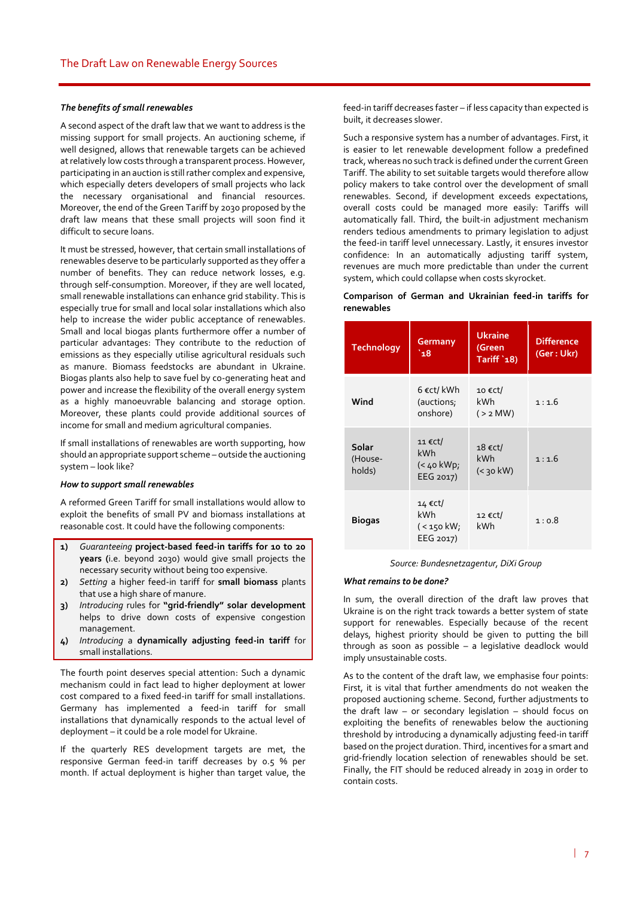#### *The benefits of small renewables*

A second aspect of the draft law that we want to address is the missing support for small projects. An auctioning scheme, if well designed, allows that renewable targets can be achieved at relatively low costs through a transparent process. However, participating in an auction is still rather complex and expensive, which especially deters developers of small projects who lack the necessary organisational and financial resources. Moreover, the end of the Green Tariff by 2030 proposed by the draft law means that these small projects will soon find it difficult to secure loans.

It must be stressed, however, that certain small installations of renewables deserve to be particularly supported as they offer a number of benefits. They can reduce network losses, e.g. through self-consumption. Moreover, if they are well located, small renewable installations can enhance grid stability. This is especially true for small and local solar installations which also help to increase the wider public acceptance of renewables. Small and local biogas plants furthermore offer a number of particular advantages: They contribute to the reduction of emissions as they especially utilise agricultural residuals such as manure. Biomass feedstocks are abundant in Ukraine. Biogas plants also help to save fuel by co-generating heat and power and increase the flexibility of the overall energy system as a highly manoeuvrable balancing and storage option. Moreover, these plants could provide additional sources of income for small and medium agricultural companies.

If small installations of renewables are worth supporting, how should an appropriate support scheme – outside the auctioning system – look like?

#### *How to support small renewables*

A reformed Green Tariff for small installations would allow to exploit the benefits of small PV and biomass installations at reasonable cost. It could have the following components:

- **1)** *Guaranteeing* **project-based feed-in tariffs for 10 to 20 years (**i.e. beyond 2030) would give small projects the necessary security without being too expensive.
- **2)** *Setting* a higher feed-in tariff for **small biomass** plants that use a high share of manure.
- **3)** *Introducing* rules for **"grid-friendly" solar development** helps to drive down costs of expensive congestion management.
- **4)** *Introducing* a **dynamically adjusting feed-in tariff** for small installations.

The fourth point deserves special attention: Such a dynamic mechanism could in fact lead to higher deployment at lower cost compared to a fixed feed-in tariff for small installations. Germany has implemented a feed-in tariff for small installations that dynamically responds to the actual level of deployment – it could be a role model for Ukraine.

If the quarterly RES development targets are met, the responsive German feed-in tariff decreases by 0.5 % per month. If actual deployment is higher than target value, the

feed-in tariff decreases faster – if less capacity than expected is built, it decreases slower.

Such a responsive system has a number of advantages. First, it is easier to let renewable development follow a predefined track, whereas no such track is defined under the current Green Tariff. The ability to set suitable targets would therefore allow policy makers to take control over the development of small renewables. Second, if development exceeds expectations, overall costs could be managed more easily: Tariffs will automatically fall. Third, the built-in adjustment mechanism renders tedious amendments to primary legislation to adjust the feed-in tariff level unnecessary. Lastly, it ensures investor confidence: In an automatically adjusting tariff system, revenues are much more predictable than under the current system, which could collapse when costs skyrocket.

#### **Comparison of German and Ukrainian feed-in tariffs for renewables**

| <b>Technology</b>          | <b>Germany</b><br>`18                      | <b>Ukraine</b><br>(Green<br>Tariff '18) | <b>Difference</b><br>(Ger: Ukr) |
|----------------------------|--------------------------------------------|-----------------------------------------|---------------------------------|
| Wind                       | 6 €ct/ kWh<br>(auctions;<br>onshore)       | 10 € $ct/$<br><b>kWh</b><br>$(>2$ MW)   | 1:1.6                           |
| Solar<br>(House-<br>holds) | 11 €Ct/<br>kWh<br>$(40$ kWp;<br>EEG 2017)  | $18$ €ct/<br>kWh<br>$(30$ kW)           | 1:1.6                           |
| <b>Biogas</b>              | 14 €Ct/<br>kWh<br>( < 150 kW;<br>EEG 2017) | 12 €Ct/<br>kWh                          | 1:0.8                           |

*Source: Bundesnetzagentur, DiXi Group*

#### *What remains to be done?*

In sum, the overall direction of the draft law proves that Ukraine is on the right track towards a better system of state support for renewables. Especially because of the recent delays, highest priority should be given to putting the bill through as soon as possible – a legislative deadlock would imply unsustainable costs.

As to the content of the draft law, we emphasise four points: First, it is vital that further amendments do not weaken the proposed auctioning scheme. Second, further adjustments to the draft law – or secondary legislation – should focus on exploiting the benefits of renewables below the auctioning threshold by introducing a dynamically adjusting feed-in tariff based on the project duration. Third, incentives for a smart and grid-friendly location selection of renewables should be set. Finally, the FIT should be reduced already in 2019 in order to contain costs.